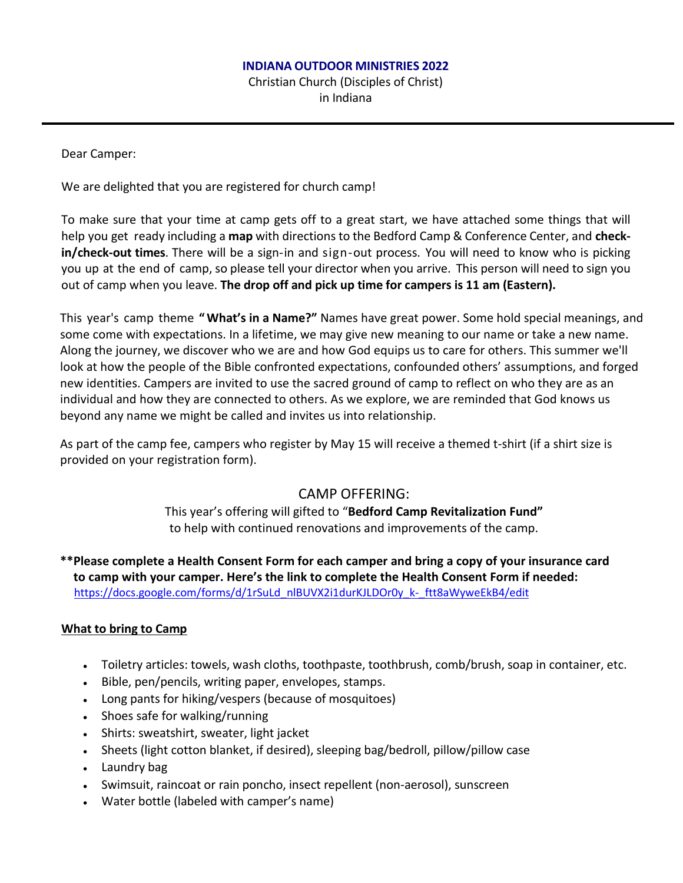#### **INDIANA OUTDOOR MINISTRIES 2022**

Christian Church (Disciples of Christ) in Indiana

Dear Camper:

We are delighted that you are registered for church camp!

To make sure that your time at camp gets off to a great start, we have attached some things that will help you get ready including a **map** with directions to the Bedford Camp & Conference Center, and **checkin/check-out times**. There will be a sign-in and sign-out process. You will need to know who is picking you up at the end of camp, so please tell your director when you arrive. This person will need to sign you out of camp when you leave. **The drop off and pick up time for campers is 11 am (Eastern).**

This year's camp theme **"What's in a Name?"** Names have great power. Some hold special meanings, and some come with expectations. In a lifetime, we may give new meaning to our name or take a new name. Along the journey, we discover who we are and how God equips us to care for others. This summer we'll look at how the people of the Bible confronted expectations, confounded others' assumptions, and forged new identities. Campers are invited to use the sacred ground of camp to reflect on who they are as an individual and how they are connected to others. As we explore, we are reminded that God knows us beyond any name we might be called and invites us into relationship.

As part of the camp fee, campers who register by May 15 will receive a themed t-shirt (if a shirt size is provided on your registration form).

# CAMP OFFERING:

This year's offering will gifted to "**Bedford Camp Revitalization Fund"** to help with continued renovations and improvements of the camp.

**\*\*Please complete a Health Consent Form for each camper and bring a copy of your insurance card to camp with your camper. Here's the link to complete the Health Consent Form if needed:**  [https://docs.google.com/forms/d/1rSuLd\\_nlBUVX2i1durKJLDOr0y\\_k-\\_ftt8aWyweEkB4/edit](https://docs.google.com/forms/d/1rSuLd_nlBUVX2i1durKJLDOr0y_k-_ftt8aWyweEkB4/edit)

# **What to bring to Camp**

- Toiletry articles: towels, wash cloths, toothpaste, toothbrush, comb/brush, soap in container, etc.
- Bible, pen/pencils, writing paper, envelopes, stamps.
- Long pants for hiking/vespers (because of mosquitoes)
- Shoes safe for walking/running
- Shirts: sweatshirt, sweater, light jacket
- Sheets (light cotton blanket, if desired), sleeping bag/bedroll, pillow/pillow case
- $\bullet$  Laundry bag
- Swimsuit, raincoat or rain poncho, insect repellent (non-aerosol), sunscreen
- Water bottle (labeled with camper's name)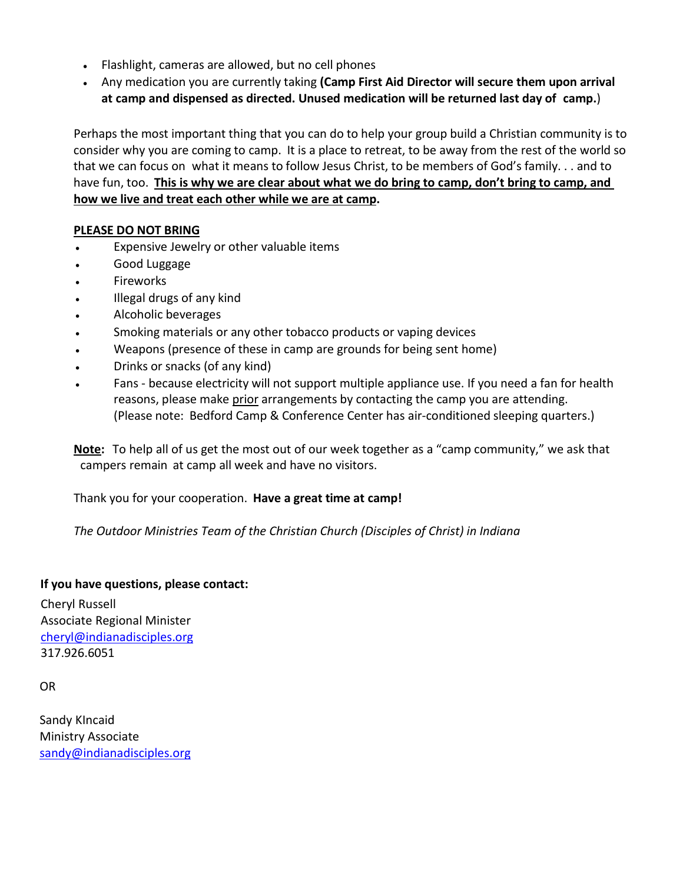- Flashlight, cameras are allowed, but no cell phones
- Any medication you are currently taking **(Camp First Aid Director will secure them upon arrival at camp and dispensed as directed. Unused medication will be returned last day of camp.**)

Perhaps the most important thing that you can do to help your group build a Christian community is to consider why you are coming to camp. It is a place to retreat, to be away from the rest of the world so that we can focus on what it means to follow Jesus Christ, to be members of God's family. . . and to have fun, too. **This is why we are clear about what we do bring to camp, don't bring to camp, and how we live and treat each other while we are at camp.**

### **PLEASE DO NOT BRING**

- Expensive Jewelry or other valuable items
- Good Luggage
- **Fireworks**
- Illegal drugs of any kind
- Alcoholic beverages
- Smoking materials or any other tobacco products or vaping devices
- Weapons (presence of these in camp are grounds for being sent home)
- Drinks or snacks (of any kind)
- Fans because electricity will not support multiple appliance use. If you need a fan for health reasons, please make prior arrangements by contacting the camp you are attending. (Please note: Bedford Camp & Conference Center has air-conditioned sleeping quarters.)

**Note:** To help all of us get the most out of our week together as a "camp community," we ask that campers remain at camp all week and have no visitors.

Thank you for your cooperation. **Have a great time at camp!**

*The Outdoor Ministries Team of the Christian Church (Disciples of Christ) in Indiana*

#### **If you have questions, please contact:**

Cheryl Russell Associate Regional Minister [cheryl@indianadisciples.org](mailto:cheryl@indianadisciples.org) 317.926.6051

OR

 Sandy KIncaid Ministry Associate sandy@indianadisciples.org